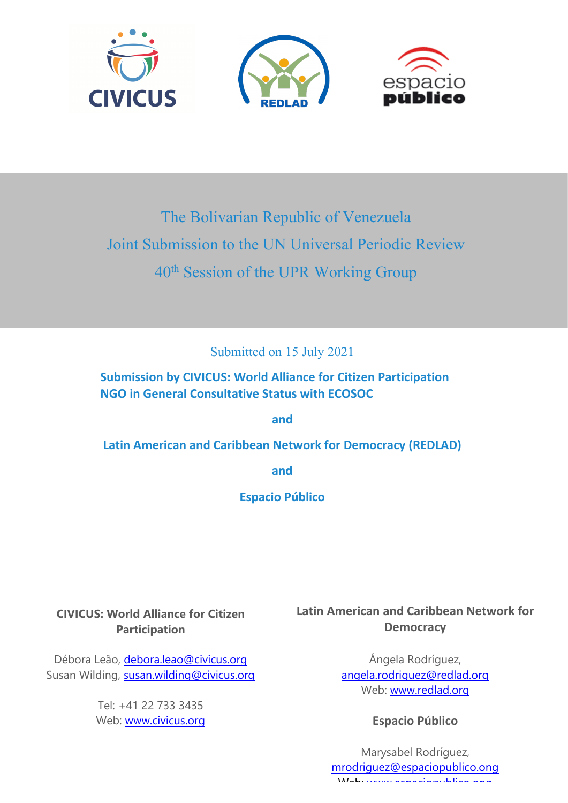





# The Bolivarian Republic of Venezuela Joint Submission to the UN Universal Periodic Review  $40^{\text{th}}$  Session of the UPR Working Group

Submitted on 15 July 2021

**Submission by CIVICUS: World Alliance for Citizen Participation NGO in General Consultative Status with ECOSOC**

**and**

**Latin American and Caribbean Network for Democracy (REDLAD)**

**and**

**Espacio Público**

**CIVICUS: World Alliance for Citizen Participation**

Débora Leão, [debora.leao@civicus.org](mailto:debora.leao@civicus.org) Susan Wilding, [susan.wilding@civicus.org](mailto:susan.wilding@civicus.org)

> Tel: +41 22 733 3435 Web: [www.civicus.org](http://www.civicus.org)

**Latin American and Caribbean Network for Democracy**

> Ángela Rodríguez, ange[la.rodriguez@redlad.org](mailto:angela.rodriguez@redlad.org) Web: [www.redlad.org](http://www.redlad.org)

> > **Espacio Público**

Marysabel Rodríguez, [mrodriguez@espaciopublico.ong](mailto:mrodriguez@espaciopublico.org) Web: www.espac[iopublico.ong](http://www.espaciopublico.ong)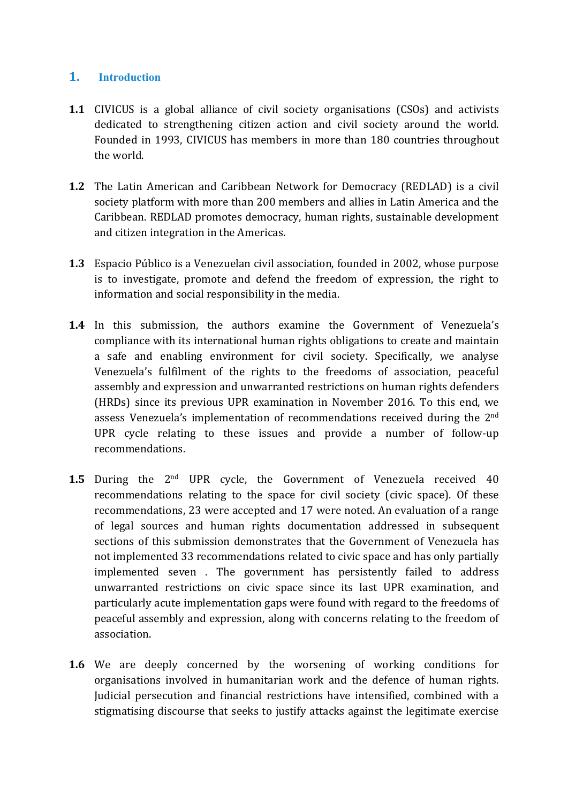### **1. Introduction**

- **1.1** CIVICUS is <sup>a</sup> global alliance of civil society organisations (CSOs) and activists dedicated to strengthening citizen action and civil society around the world. Founded in 1993, CIVICUS has members in more than 180 countries throughout the world.
- **1.2** The Latin American and Caribbean Network for Democracy (REDLAD) is <sup>a</sup> civil society platform with more than 200 members and allies in Latin America and the Caribbean. REDLAD promotes democracy, human rights, sustainable development and citizen integration in the Americas.
- **1.3** Espacio Público is <sup>a</sup> Venezuelan civil association, founded in 2002, whose purpose is to investigate, promote and defend the freedom of expression, the right to information and social responsibility in the media.
- **1.4** In this submission, the authors examine the Government of Venezuela'<sup>s</sup> compliance with its international human rights obligations to create and maintain <sup>a</sup> safe and enabling environment for civil society. Specifically, we analyse Venezuela'<sup>s</sup> fulfilment of the rights to the freedoms of association, peaceful assembly and expression and unwarranted restrictions on human rights defenders (HRDs) since its previous UPR examination in November 2016. To this end, we assess Venezuela'<sup>s</sup> implementation of recommendations received during the <sup>2</sup>nd UPR cycle relating to these issues and provide <sup>a</sup> number of follow-up recommendations.
- **1.5** During the 2<sup>nd</sup> UPR cycle, the Government of Venezuela received 40 recommendations relating to the space for civil society (civic space). Of these recommendations, 23 were accepted and 17 were noted. An evaluation of <sup>a</sup> range of legal sources and human rights documentation addressed in subsequent sections of this submission demonstrates that the Government of Venezuela has not implemented 33 recommendations related to civic space and has only partially implemented seven . The governmen<sup>t</sup> has persistently failed to address unwarranted restrictions on civic space since its last UPR examination, and particularly acute implementation gaps were found with regard to the freedoms of peaceful assembly and expression, along with concerns relating to the freedom of association.
- **1.6** We are deeply concerned by the worsening of working conditions for organisations involved in humanitarian work and the defence of human rights. Judicial persecution and financial restrictions have intensified, combined with <sup>a</sup> stigmatising discourse that seeks to justify attacks against the legitimate exercise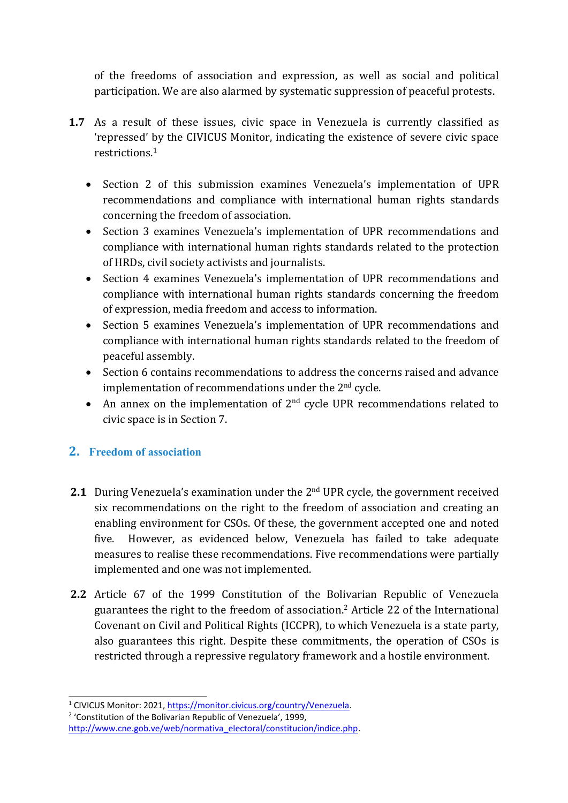of the freedoms of association and expression, as well as social and political participation. We are also alarmed by systematic suppression of peaceful protests.

- **1.7** As <sup>a</sup> result of these issues, civic space in Venezuela is currently classified as 'repressed' by the CIVICUS Monitor, indicating the existence of severe civic space restrictions. 1
	- Section 2 of this submission examines Venezuela'<sup>s</sup> implementation of UPR recommendations and compliance with international human rights standards concerning the freedom of association.
	- Section 3 examines Venezuela'<sup>s</sup> implementation of UPR recommendations and compliance with international human rights standards related to the protection of HRDs, civil society activists and journalists.
	- $\bullet$  Section 4 examines Venezuela'<sup>s</sup> implementation of UPR recommendations and compliance with international human rights standards concerning the freedom of expression, media freedom and access to information.
	- Section 5 examines Venezuela'<sup>s</sup> implementation of UPR recommendations and compliance with international human rights standards related to the freedom of peaceful assembly.
	- Section 6 contains recommendations to address the concerns raised and advance implementation of recommendations under the 2<sup>nd</sup> cycle.
	- An annex on the implementation of  $2<sup>nd</sup>$  cycle UPR recommendations related to civic space is in Section 7.

## **2. Freedom of association**

- **2.1** During Venezuela's examination under the 2<sup>nd</sup> UPR cycle, the government received six recommendations on the right to the freedom of association and creating an enabling environment for CSOs. Of these, the governmen<sup>t</sup> accepted one and noted five. However, as evidenced below, Venezuela has failed to take adequate measures to realise these recommendations. Five recommendations were partially implemented and one was not implemented.
- **2.2** Article 67 of the 1999 Constitution of the Bolivarian Republic of Venezuela guarantees the right to the freedom of association. 2 Article 22 of the International Covenant on Civil and Political Rights (ICCPR), to which Venezuela is <sup>a</sup> state party, also guarantees this right. Despite these commitments, the operation of CSOs is restricted through <sup>a</sup> repressive regulatory framework and <sup>a</sup> hostile environment.

<sup>2</sup> 'Constitution of the Bolivarian Republic of Venezuela', 1999,

<sup>&</sup>lt;sup>1</sup> CIVICUS Monitor: 2021, <https://monitor.civicus.org/country/Venezuela>.

http://www.cne.gob.ye/web/normativa\_electoral/constitucion/indice.php.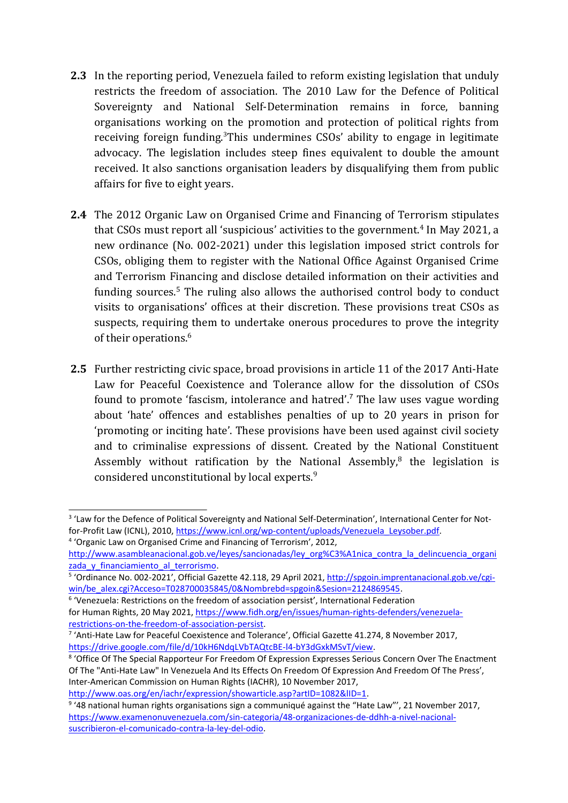- **2.3** In the reporting period, Venezuela failed to reform existing legislation that unduly restricts the freedom of association. The 2010 Law for the Defence of Political Sovereignty and National Self-Determination remains in force, banning organisations working on the promotion and protection of political rights from receiving foreign funding.<sup>3</sup>This undermines CSOs' ability to engage in legitimate advocacy. The legislation includes steep fines equivalent to double the amount received. It also sanctions organisation leaders by disqualifying them from public affairs for five to eight years.
- **2.4** The 2012 Organic Law on Organised Crime and Financing of Terrorism stipulates that CSOs must report all 'suspicious' activities to the government. 4 In May 2021, <sup>a</sup> new ordinance (No. 002-2021) under this legislation imposed strict controls for CSOs, obliging them to register with the National Office Against Organised Crime and Terrorism Financing and disclose detailed information on their activities and funding sources.<sup>5</sup> The ruling also allows the authorised control body to conduct visits to organisations' offices at their discretion. These provisions treat CSOs as suspects, requiring them to undertake onerous procedures to prove the integrity of their operations. 6
- **2.5** Further restricting civic space, broad provisions in article 11 of the 2017 Anti-Hate Law for Peaceful Coexistence and Tolerance allow for the dissolution of CSOs found to promote 'fascism, intolerance and hatred'.<sup>7</sup> The law uses vague wording about 'hate' offences and establishes penalties of up to 20 years in prison for 'promoting or inciting hate'. These provisions have been used against civil society and to criminalise expressions of dissent. Created by the National Constituent Assembly without ratification by the National Assembly,<sup>8</sup> the legislation is considered unconstitutional by local experts. 9

<http://www.oas.org/en/iachr/expression/showarticle.asp?artID=1082&lID=1>.

4

<sup>&</sup>lt;sup>3</sup> 'Law for the Defence of Political Sovereignty and National Self-Determination', International Center for Notfor-Profit Law (ICNL), 2010, [https://www.icnl.org/wp-content/uploads/Venezuela\\_Leysober.pdf](https://www.icnl.org/wp-content/uploads/Venezuela_Leysober.pdf).

<sup>4</sup> 'Organic Law on Organised Crime and Financing of Terrorism', 2012,

[http://www.asambleanacional.gob.ve/leyes/sancionadas/ley\\_org%C3%A1nica\\_contra\\_la\\_delincuencia\\_organi](http://www.asambleanacional.gob.ve/leyes/sancionadas/ley_org%C3%A1nica_contra_la_delincuencia_organizada_y_financiamiento_al_terrorismo) zada y financiamiento al terrorismo.

<sup>&</sup>lt;sup>5</sup> 'Ordinance No. 002-2021', Official Gazette 42.118, 29 April 2021, [http://spgoin.imprentanacional.gob.ve/cgi](http://spgoin.imprentanacional.gob.ve/cgi-win/be_alex.cgi?Acceso=T028700035845/0&Nombrebd=spgoin&Sesion=2124869545)[win/be\\_alex.cgi?Acceso=T028700035845/0&Nombrebd=spgoin&Sesion=2124869545](http://spgoin.imprentanacional.gob.ve/cgi-win/be_alex.cgi?Acceso=T028700035845/0&Nombrebd=spgoin&Sesion=2124869545).

<sup>6</sup> 'Venezuela: Restrictions on the freedom of association persist', International Federation

for Human Rights, 20 May 2021, [https://www.fidh.org/en/issues/human-rights-defenders/venezuela](https://www.fidh.org/en/issues/human-rights-defenders/venezuela-restrictions-on-the-freedom-of-association-persist)[restrictions-on-the-freedom-of-association-persist](https://www.fidh.org/en/issues/human-rights-defenders/venezuela-restrictions-on-the-freedom-of-association-persist).

<sup>&</sup>lt;sup>7</sup> 'Anti-Hate Law for Peaceful Coexistence and Tolerance', Official Gazette 41.274, 8 November 2017, <https://drive.google.com/file/d/10kH6NdqLVbTAQtcBE-l4-bY3dGxkMSvT/view>.

<sup>8</sup> 'Office Of The Special Rapporteur For Freedom Of Expression Expresses Serious Concern Over The Enactment Of The "Anti-Hate Law" In Venezuela And Its Effects On Freedom Of Expression And Freedom Of The Press', Inter-American Commission on Human Rights (IACHR), 10 November 2017,

<sup>&</sup>lt;sup>9</sup> '48 national human rights organisations sign a communiqué against the "Hate Law"', 21 November 2017, [https://www.examenonuvenezuela.com/sin-categoria/48-organizaciones-de-ddhh-a-nivel-nacional](https://www.examenonuvenezuela.com/sin-categoria/48-organizaciones-de-ddhh-a-nivel-nacional-suscribieron-el-comunicado-contra-la-ley-del-odio)[suscribieron-el-comunicado-contra-la-ley-del-odio](https://www.examenonuvenezuela.com/sin-categoria/48-organizaciones-de-ddhh-a-nivel-nacional-suscribieron-el-comunicado-contra-la-ley-del-odio).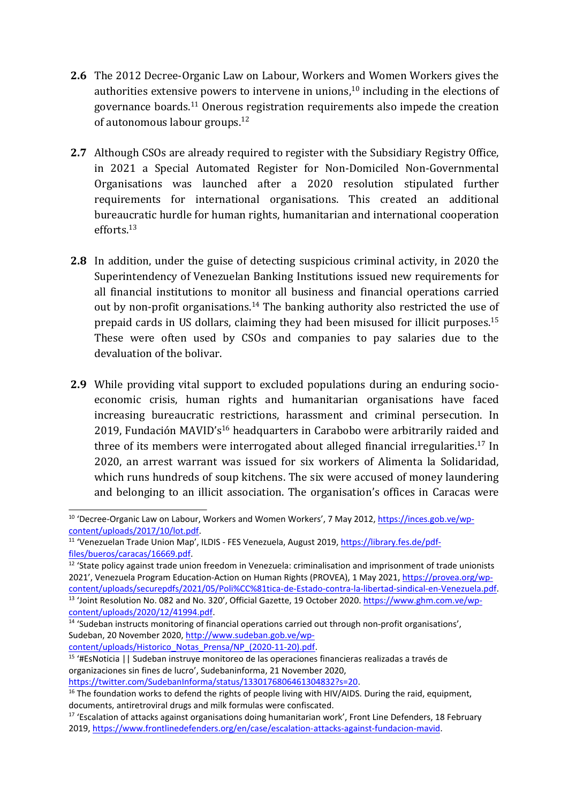- **2.6** The 2012 Decree-Organic Law on Labour, Workers and Women Workers gives the authorities extensive powers to intervene in unions, $^{\rm 10}$  including in the elections of governance boards.<sup>11</sup> Onerous registration requirements also impede the creation of autonomous labour groups.<sup>12</sup>
- **2.7** Although CSOs are already required to register with the Subsidiary Registry Office, in 2021 <sup>a</sup> Special Automated Register for Non-Domiciled Non-Governmental Organisations was launched after <sup>a</sup> 2020 resolution stipulated further requirements for international organisations. This created an additional bureaucratic hurdle for human rights, humanitarian and international cooperation efforts.<sup>13</sup>
- **2.8** In addition, under the guise of detecting suspicious criminal activity, in 2020 the Superintendency of Venezuelan Banking Institutions issued new requirements for all financial institutions to monitor all business and financial operations carried out by non-profit organisations.<sup>14</sup> The banking authority also restricted the use of prepaid cards in US dollars, claiming they had been misused for illicit purposes. 15 These were often used by CSOs and companies to pay salaries due to the devaluation of the bolivar.
- **2.9** While providing vital support to excluded populations during an enduring socioeconomic crisis, human rights and humanitarian organisations have faced increasing bureaucratic restrictions, harassment and criminal persecution. In 2019, Fundación MAVID's<sup>16</sup> headquarters in Carabobo were arbitrarily raided and three of its members were interrogated about alleged financial irregularities. 17 In 2020, an arrest warrant was issued for six workers of Alimenta la Solidaridad, which runs hundreds of soup kitchens. The six were accused of money laundering and belonging to an illicit association. The organisation'<sup>s</sup> offices in Caracas were

 $12$  'State policy against trade union freedom in Venezuela: criminalisation and imprisonment of trade unionists 2021', Venezuela Program Education-Action on Human Rights (PROVEA), 1 May 2021, [https://provea.org/wp](https://provea.org/wp-content/uploads/securepdfs/2021/05/Poli%CC%81tica-de-Estado-contra-la-libertad-sindical-en-Venezuela.pdf)[content/uploads/securepdfs/2021/05/Poli%CC%81tica-de-Estado-contra-la-libertad-sindical-en-Venezuela.pdf](https://provea.org/wp-content/uploads/securepdfs/2021/05/Poli%CC%81tica-de-Estado-contra-la-libertad-sindical-en-Venezuela.pdf). <sup>13</sup> 'Joint Resolution No. 082 and No. 320', Official Gazette, 19 October 2020. [https://www.ghm.com.ve/wp](https://www.ghm.com.ve/wp-content/uploads/2020/12/41994.pdf)[content/uploads/2020/12/41994.pdf](https://www.ghm.com.ve/wp-content/uploads/2020/12/41994.pdf).

documents, antiretroviral drugs and milk formulas were confiscated.

<sup>&</sup>lt;sup>10</sup> 'Decree-Organic Law on Labour, Workers and Women Workers', 7 May 2012, [https://inces.gob.ve/wp](https://inces.gob.ve/wp-content/uploads/2017/10/lot.pdf)[content/uploads/2017/10/lot.pdf](https://inces.gob.ve/wp-content/uploads/2017/10/lot.pdf).

<sup>&</sup>lt;sup>11</sup> 'Venezuelan Trade Union Map', ILDIS - FES Venezuela, August 2019, [https://library.fes.de/pdf](https://library.fes.de/pdf-files/bueros/caracas/16669.pdf)[files/bueros/caracas/16669.pdf](https://library.fes.de/pdf-files/bueros/caracas/16669.pdf).

<sup>&</sup>lt;sup>14</sup> 'Sudeban instructs monitoring of financial operations carried out through non-profit organisations', Sudeban, 20 November 2020, [http://www.sudeban.gob.ve/wp](http://www.sudeban.gob.ve/wp-content/uploads/Historico_Notas_Prensa/NP_(2020-11-20).pdf)[content/uploads/Historico\\_Notas\\_Prensa/NP\\_\(2020-11-20\).pdf](http://www.sudeban.gob.ve/wp-content/uploads/Historico_Notas_Prensa/NP_(2020-11-20).pdf).

<sup>&</sup>lt;sup>15</sup> '#EsNoticia || Sudeban instruye monitoreo de las operaciones financieras realizadas a través de organizaciones sin fines de lucro', Sudebaninforma, 21 November 2020, <https://twitter.com/SudebanInforma/status/1330176806461304832?s=20>.

<sup>&</sup>lt;sup>16</sup> The foundation works to defend the rights of people living with HIV/AIDS. During the raid, equipment,

<sup>&</sup>lt;sup>17</sup> 'Escalation of attacks against organisations doing humanitarian work', Front Line Defenders, 18 February 2019, <https://www.frontlinedefenders.org/en/case/escalation-attacks-against-fundacion-mavid>.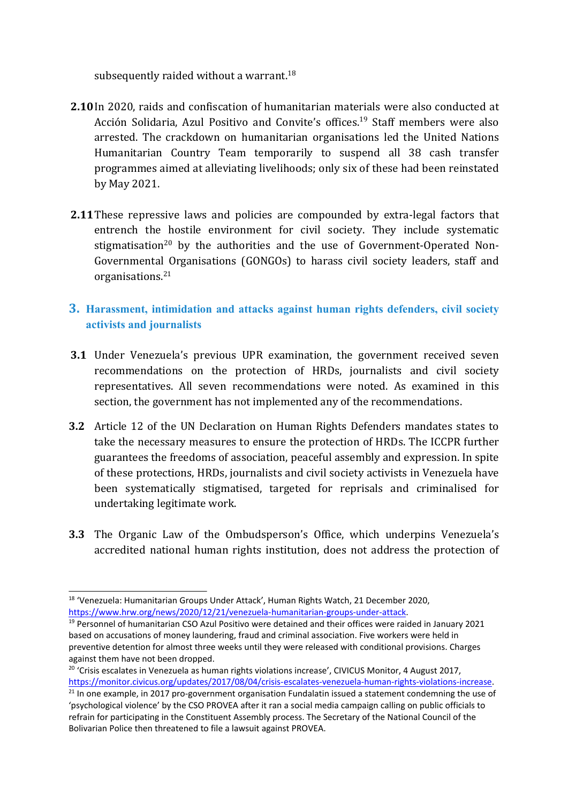subsequently raided without a warrant. $^{18}$ 

- **2.10**In 2020, raids and confiscation of humanitarian materials were also conducted at Acción Solidaria, Azul Positivo and Convite'<sup>s</sup> offices. 19 Staff members were also arrested. The crackdown on humanitarian organisations led the United Nations Humanitarian Country Team temporarily to suspend all 38 cash transfer programmes aimed at alleviating livelihoods; only six of these had been reinstated by May 2021.
- **2.11**These repressive laws and policies are compounded by extra-legal factors that entrench the hostile environment for civil society. They include systematic stigmatisation $^{\rm 20}$  by the authorities and the use of Government-Operated Non-Governmental Organisations (GONGOs) to harass civil society leaders, staff and organisations. 21

# **3. Harassment, intimidation and attacks against human rights defenders, civil society activists and journalists**

- **3.1** Under Venezuela'<sup>s</sup> previous UPR examination, the governmen<sup>t</sup> received seven recommendations on the protection of HRDs, journalists and civil society representatives. All seven recommendations were noted. As examined in this section, the governmen<sup>t</sup> has not implemented any of the recommendations.
- **3.2** Article 12 of the UN Declaration on Human Rights Defenders mandates states to take the necessary measures to ensure the protection of HRDs. The ICCPR further guarantees the freedoms of association, peaceful assembly and expression. In spite of these protections, HRDs, journalists and civil society activists in Venezuela have been systematically stigmatised, targeted for reprisals and criminalised for undertaking legitimate work.
- **3.3** The Organic Law of the Ombudsperson'<sup>s</sup> Office, which underpins Venezuela'<sup>s</sup> accredited national human rights institution, does not address the protection of

<sup>&</sup>lt;sup>18</sup> 'Venezuela: Humanitarian Groups Under Attack', Human Rights Watch, 21 December 2020, <https://www.hrw.org/news/2020/12/21/venezuela-humanitarian-groups-under-attack>.

<sup>&</sup>lt;sup>19</sup> Personnel of humanitarian CSO Azul Positivo were detained and their offices were raided in January 2021 based on accusations of money laundering, fraud and criminal association. Five workers were held in preventive detention for almost three weeks until they were released with conditional provisions. Charges against them have not been dropped.

<sup>&</sup>lt;sup>20</sup> 'Crisis escalates in Venezuela as human rights violations increase', CIVICUS Monitor, 4 August 2017, [https://monitor.civicus.org/updates/2017/08/04/crisis-escalates-venezuela-human-rights-violations-increase](https://monitor.civicus.org/updates/2017/08/04/crisis-escalates-venezuela-human-rights-violations-increase/).

<sup>&</sup>lt;sup>21</sup> In one example, in 2017 pro-government organisation Fundalatin issued a statement condemning the use of 'psychological violence' by the CSO PROVEA after it ran <sup>a</sup> social media campaign calling on public officials to refrain for participating in the Constituent Assembly process. The Secretary of the National Council of the Bolivarian Police then threatened to file <sup>a</sup> lawsuit against PROVEA.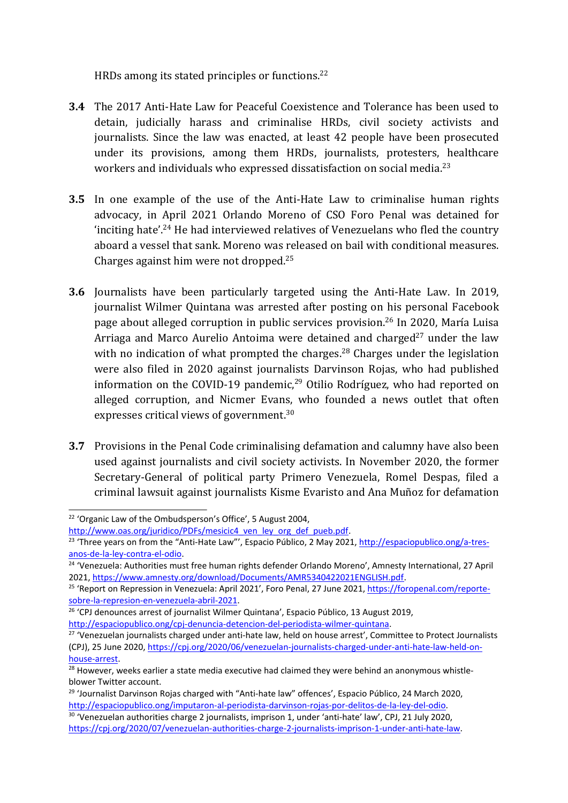HRDs among its stated principles or functions. 22

- **3.4** The 2017 Anti-Hate Law for Peaceful Coexistence and Tolerance has been used to detain, judicially harass and criminalise HRDs, civil society activists and journalists. Since the law was enacted, at least 42 people have been prosecuted under its provisions, among them HRDs, journalists, protesters, healthcare workers and individuals who expressed dissatisfaction on social media. 23
- **3.5** In one example of the use of the Anti-Hate Law to criminalise human rights advocacy, in April 2021 Orlando Moreno of CSO Foro Penal was detained for 'inciting hate'. <sup>24</sup> He had interviewed relatives of Venezuelans who fled the country aboard <sup>a</sup> vessel that sank. Moreno was released on bail with conditional measures. Charges against him were not dropped. 25
- **3.6** Journalists have been particularly targeted using the Anti-Hate Law. In 2019, journalist Wilmer Quintana was arrested after posting on his personal Facebook page about alleged corruption in public services provision. 26 In 2020, María Luisa Arriaga and Marco Aurelio Antoima were detained and charged<sup>27</sup> under the law with no indication of what prompted the charges. 28 Charges under the legislation were also filed in 2020 against journalists Darvinson Rojas, who had published information on the COVID-19 pandemic,<sup>29</sup> Otilio Rodríguez, who had reported on alleged corruption, and Nicmer Evans, who founded <sup>a</sup> news outlet that often expresses critical views of government. $^{\rm 30}$
- **3.7** Provisions in the Penal Code criminalising defamation and calumny have also been used against journalists and civil society activists. In November 2020, the former Secretary-General of political party Primero Venezuela, Romel Despas, filed <sup>a</sup> criminal lawsuit against journalists Kisme Evaristo and Ana Muñoz for defamation

7

<sup>&</sup>lt;sup>22</sup> 'Organic Law of the Ombudsperson's Office', 5 August 2004,

[http://www.oas.org/juridico/PDFs/mesicic4\\_ven\\_ley\\_org\\_def\\_pueb.pdf](http://www.oas.org/juridico/PDFs/mesicic4_ven_ley_org_def_pueb.pdf).

<sup>&</sup>lt;sup>23</sup> 'Three years on from the "Anti-Hate Law"', Espacio Público, 2 May 2021, [http://espaciopublico.ong/a-tres](http://espaciopublico.ong/a-tres-anos-de-la-ley-contra-el-odio/)[anos-de-la-ley-contra-el-odio](http://espaciopublico.ong/a-tres-anos-de-la-ley-contra-el-odio/).

<sup>&</sup>lt;sup>24</sup> 'Venezuela: Authorities must free human rights defender Orlando Moreno', Amnesty International, 27 April 2021, <https://www.amnesty.org/download/Documents/AMR5340422021ENGLISH.pdf>.

<sup>&</sup>lt;sup>25</sup> 'Report on Repression in Venezuela: April 2021', Foro Penal, 27 June 2021, [https://foropenal.com/reporte](https://foropenal.com/reporte-sobre-la-represion-en-venezuela-abril-2021/)[sobre-la-represion-en-venezuela-abril-2021](https://foropenal.com/reporte-sobre-la-represion-en-venezuela-abril-2021/).

<sup>&</sup>lt;sup>26</sup> 'CPJ denounces arrest of journalist Wilmer Quintana', Espacio Público, 13 August 2019, [http://espaciopublico.ong/cpj-denuncia-detencion-del-periodista-wilmer-quintana](http://espaciopublico.ong/cpj-denuncia-detencion-del-periodista-wilmer-quintana/).

<sup>&</sup>lt;sup>27</sup> 'Venezuelan journalists charged under anti-hate law, held on house arrest', Committee to Protect Journalists (CPJ), 25 June 2020, [https://cpj.org/2020/06/venezuelan-journalists-charged-under-anti-hate-law-held-on](https://cpj.org/2020/06/venezuelan-journalists-charged-under-anti-hate-law-held-on-house-arrest/)[house-arrest](https://cpj.org/2020/06/venezuelan-journalists-charged-under-anti-hate-law-held-on-house-arrest/).

 $^{28}$  However, weeks earlier a state media executive had claimed they were behind an anonymous whistleblower Twitter account.

<sup>&</sup>lt;sup>29</sup> 'Journalist Darvinson Rojas charged with "Anti-hate law" offences', Espacio Público, 24 March 2020, [http://espaciopublico.ong/imputaron-al-periodista-darvinson-rojas-por-delitos-de-la-ley-del-odio](http://espaciopublico.ong/imputaron-al-periodista-darvinson-rojas-por-delitos-de-la-ley-del-odio/).

<sup>&</sup>lt;sup>30</sup> 'Venezuelan authorities charge 2 journalists, imprison 1, under 'anti-hate' law', CPJ, 21 July 2020, <https://cpj.org/2020/07/venezuelan-authorities-charge-2-journalists-imprison-1-under-anti-hate-law>.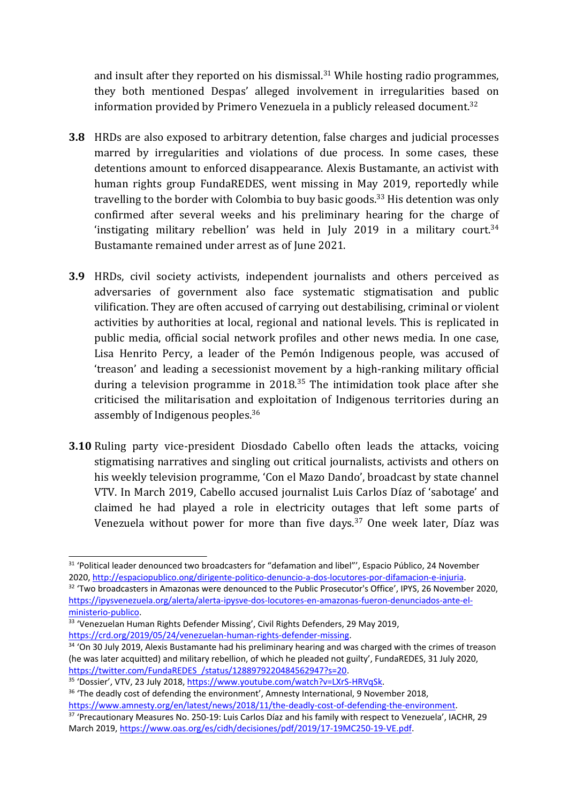and insult after they reported on his dismissal.<sup>31</sup> While hosting radio programmes, they both mentioned Despas' alleged involvement in irregularities based on information provided by Primero Venezuela in a publicly released document. $^{\rm 32}$ 

- **3.8** HRDs are also exposed to arbitrary detention, false charges and judicial processes marred by irregularities and violations of due process. In some cases, these detentions amount to enforced disappearance. Alexis Bustamante, an activist with human rights group FundaREDES, went missing in May 2019, reportedly while travelling to the border with Colombia to buy basic goods.<sup>33</sup> His detention was only confirmed after several weeks and his preliminary hearing for the charge of 'instigating military rebellion' was held in July 2019 in a military court. $^{34}$ Bustamante remained under arrest as of June 2021.
- **3.9** HRDs, civil society activists, independent journalists and others perceived as adversaries of governmen<sup>t</sup> also face systematic stigmatisation and public vilification. They are often accused of carrying out destabilising, criminal or violent activities by authorities at local, regional and national levels. This is replicated in public media, official social network profiles and other news media. In one case, Lisa Henrito Percy, <sup>a</sup> leader of the Pemón Indigenous people, was accused of 'treason' and leading <sup>a</sup> secessionist movement by <sup>a</sup> high-ranking military official during a television programme in 2018.<sup>35</sup> The intimidation took place after she criticised the militarisation and exploitation of Indigenous territories during an assembly of Indigenous peoples. $^{\rm 36}$
- **3.10** Ruling party vice-president Diosdado Cabello often leads the attacks, voicing stigmatising narratives and singling out critical journalists, activists and others on his weekly television programme, 'Con el Mazo Dando', broadcast by state channel VTV. In March 2019, Cabello accused journalist Luis Carlos Díaz of 'sabotage' and claimed he had played <sup>a</sup> role in electricity outages that left some parts of Venezuela without power for more than five days. 37 One week later, Díaz was

<sup>&</sup>lt;sup>31</sup> 'Political leader denounced two broadcasters for "defamation and libel"', Espacio Público, 24 November 2020, [http://espaciopublico.ong/dirigente-politico-denuncio-a-dos-locutores-por-difamacion-e-injuria](http://espaciopublico.ong/dirigente-politico-denuncio-a-dos-locutores-por-difamacion-e-injuria/).

<sup>&</sup>lt;sup>32</sup> 'Two broadcasters in Amazonas were denounced to the Public Prosecutor's Office', IPYS, 26 November 2020, [https://ipysvenezuela.org/alerta/alerta-ipysve-dos-locutores-en-amazonas-fueron-denunciados-ante-el](https://ipysvenezuela.org/alerta/alerta-ipysve-dos-locutores-en-amazonas-fueron-denunciados-ante-el-ministerio-publico/)[ministerio-publico](https://ipysvenezuela.org/alerta/alerta-ipysve-dos-locutores-en-amazonas-fueron-denunciados-ante-el-ministerio-publico/).

<sup>&</sup>lt;sup>33</sup> 'Venezuelan Human Rights Defender Missing', Civil Rights Defenders, 29 May 2019, [https://crd.org/2019/05/24/venezuelan-human-rights-defender-missing](https://crd.org/2019/05/24/venezuelan-human-rights-defender-missing/).

<sup>&</sup>lt;sup>34</sup> 'On 30 July 2019, Alexis Bustamante had his preliminary hearing and was charged with the crimes of treasor (he was later acquitted) and military rebellion, of which he pleaded not guilty', FundaREDES, 31 July 2020, [https://twitter.com/FundaREDES\\_/status/1288979220484562947?s=20](https://twitter.com/FundaREDES_/status/1288979220484562947?s=20).

<sup>&</sup>lt;sup>35</sup> 'Dossier', VTV, 23 July 2018, <u><https://www.youtube.com/watch?v=LXrS-HRVqSk></u>.

<sup>&</sup>lt;sup>36</sup> 'The deadly cost of defending the environment', Amnesty International, 9 November 2018, [https://www.amnesty.org/en/latest/news/2018/11/the-deadly-cost-of-defending-the-environment](https://www.amnesty.org/en/latest/news/2018/11/the-deadly-cost-of-defending-the-environment/).

<sup>&</sup>lt;sup>37</sup> 'Precautionary Measures No. 250-19: Luis Carlos Díaz and his family with respect to Venezuela', IACHR, 29 March 2019, <https://www.oas.org/es/cidh/decisiones/pdf/2019/17-19MC250-19-VE.pdf>.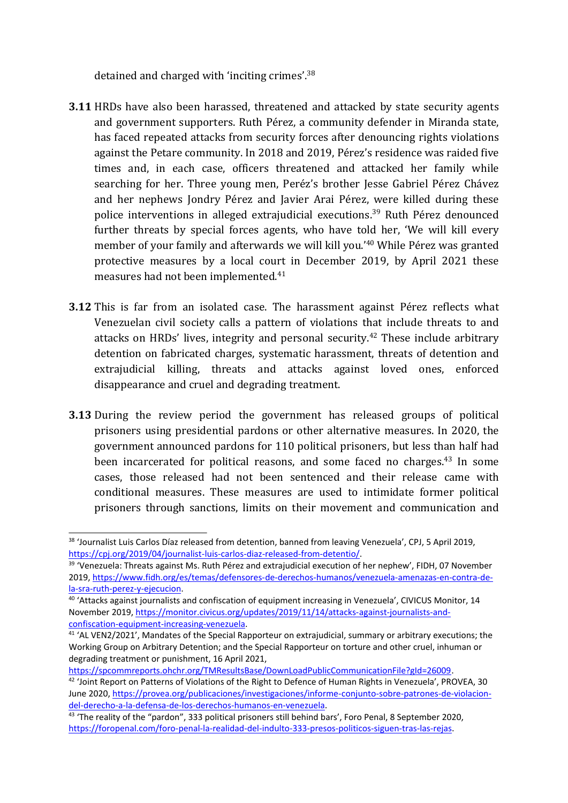detained and charged with 'inciting crimes'.<sup>38</sup>

- **3.11** HRDs have also been harassed, threatened and attacked by state security agents and governmen<sup>t</sup> supporters. Ruth Pérez, <sup>a</sup> community defender in Miranda state, has faced repeated attacks from security forces after denouncing rights violations against the Petare community. In 2018 and 2019, Pérez'<sup>s</sup> residence was raided five times and, in each case, officers threatened and attacked her family while searching for her. Three young men, Peréz's brother Jesse Gabriel Pérez Chávez and her nephews Jondry Pérez and Javier Arai Pérez, were killed during these police interventions in alleged extrajudicial executions. 39 Ruth Pérez denounced further threats by special forces agents, who have told her, 'We will kill every member of your family and afterwards we will kill you.' <sup>40</sup> While Pérez was granted protective measures by <sup>a</sup> local court in December 2019, by April 2021 these measures had not been implemented. 41
- **3.12** This is far from an isolated case. The harassment against Pérez reflects what Venezuelan civil society calls <sup>a</sup> pattern of violations that include threats to and attacks on HRDs' lives, integrity and personal security. 42 These include arbitrary detention on fabricated charges, systematic harassment, threats of detention and extrajudicial killing, threats and attacks against loved ones, enforced disappearance and cruel and degrading treatment.
- **3.13** During the review period the governmen<sup>t</sup> has released groups of political prisoners using presidential pardons or other alternative measures. In 2020, the governmen<sup>t</sup> announced pardons for 110 political prisoners, but less than half had been incarcerated for political reasons, and some faced no charges.<sup>43</sup> In some cases, those released had not been sentenced and their release came with conditional measures. These measures are used to intimidate former political prisoners through sanctions, limits on their movement and communication and

<https://spcommreports.ohchr.org/TMResultsBase/DownLoadPublicCommunicationFile?gId=26009>.

9

<sup>38</sup> 'Journalist Luis Carlos Díaz released from detention, banned from leaving Venezuela', CPJ, 5 April 2019, <https://cpj.org/2019/04/journalist-luis-carlos-diaz-released-from-detentio/>.

<sup>&</sup>lt;sup>39</sup> 'Venezuela: Threats against Ms. Ruth Pérez and extrajudicial execution of her nephew', FIDH, 07 November 2019, [https://www.fidh.org/es/temas/defensores-de-derechos-humanos/venezuela-amenazas-en-contra-de](https://www.fidh.org/es/temas/defensores-de-derechos-humanos/venezuela-amenazas-en-contra-de-la-sra-ruth-perez-y-ejecucion)[la-sra-ruth-perez-y-ejecucion](https://www.fidh.org/es/temas/defensores-de-derechos-humanos/venezuela-amenazas-en-contra-de-la-sra-ruth-perez-y-ejecucion).

<sup>&</sup>lt;sup>40</sup> 'Attacks against journalists and confiscation of equipment increasing in Venezuela', CIVICUS Monitor, 14 November 2019, [https://monitor.civicus.org/updates/2019/11/14/attacks-against-journalists-and](https://monitor.civicus.org/updates/2019/11/14/attacks-against-journalists-and-confiscation-equipment-increasing-venezuela/)[confiscation-equipment-increasing-venezuela](https://monitor.civicus.org/updates/2019/11/14/attacks-against-journalists-and-confiscation-equipment-increasing-venezuela/).

<sup>&</sup>lt;sup>41</sup> 'AL VEN2/2021', Mandates of the Special Rapporteur on extrajudicial, summary or arbitrary executions; the Working Group on Arbitrary Detention; and the Special Rapporteur on torture and other cruel, inhuman or degrading treatment or punishment, 16 April 2021,

 $^{42}$  'Joint Report on Patterns of Violations of the Right to Defence of Human Rights in Venezuela', PROVEA, 30 June 2020, [https://provea.org/publicaciones/investigaciones/informe-conjunto-sobre-patrones-de-violacion](https://provea.org/publicaciones/investigaciones/informe-conjunto-sobre-patrones-de-violacion-del-derecho-a-la-defensa-de-los-derechos-humanos-en-venezuela/)[del-derecho-a-la-defensa-de-los-derechos-humanos-en-venezuela](https://provea.org/publicaciones/investigaciones/informe-conjunto-sobre-patrones-de-violacion-del-derecho-a-la-defensa-de-los-derechos-humanos-en-venezuela/).

<sup>&</sup>lt;sup>43</sup> 'The reality of the "pardon", 333 political prisoners still behind bars', Foro Penal, 8 September 2020, [https://foropenal.com/foro-penal-la-realidad-del-indulto-333-presos-politicos-siguen-tras-las-rejas](https://foropenal.com/foro-penal-la-realidad-del-indulto-333-presos-politicos-siguen-tras-las-rejas/).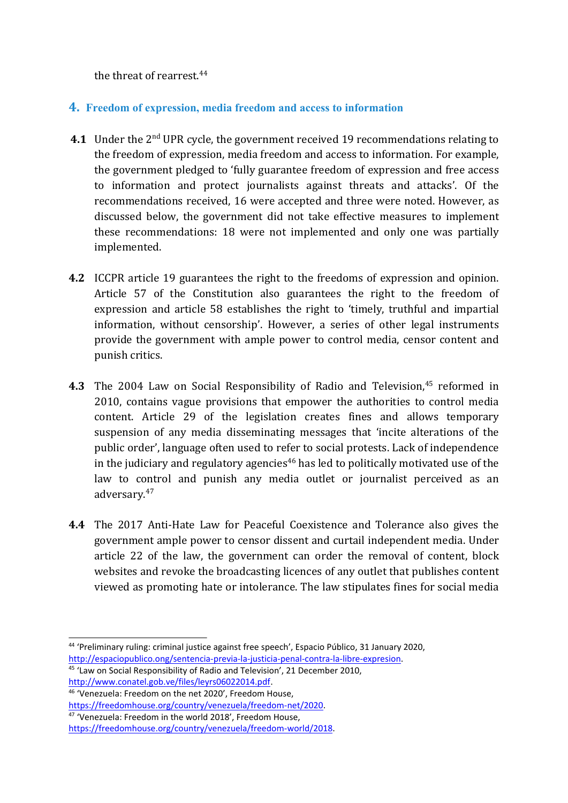the threat of rearrest. 44

## **4. Freedom of expression, media freedom and access to information**

- **4.1** Under the 2nd UPR cycle, the governmen<sup>t</sup> received 19 recommendations relating to the freedom of expression, media freedom and access to information. For example, the governmen<sup>t</sup> pledged to 'fully guarantee freedom of expression and free access to information and protect journalists against threats and attacks'. Of the recommendations received, 16 were accepted and three were noted. However, as discussed below, the governmen<sup>t</sup> did not take effective measures to implement these recommendations: 18 were not implemented and only one was partially implemented.
- **4.2** ICCPR article 19 guarantees the right to the freedoms of expression and opinion. Article 57 of the Constitution also guarantees the right to the freedom of expression and article 58 establishes the right to 'timely, truthful and impartial information, without censorship'. However, <sup>a</sup> series of other legal instruments provide the governmen<sup>t</sup> with ample power to control media, censor content and punish critics.
- **4.3** The 2004 Law on Social Responsibility of Radio and Television,<sup>45</sup> reformed in 2010, contains vague provisions that empower the authorities to control media content. Article 29 of the legislation creates fines and allows temporary suspension of any media disseminating messages that 'incite alterations of the public order', language often used to refer to social protests. Lack of independence in the judiciary and regulatory agencies 46 has led to politically motivated use of the law to control and punish any media outlet or journalist perceived as an adversary.<sup>47</sup>
- **4.4** The 2017 Anti-Hate Law for Peaceful Coexistence and Tolerance also gives the governmen<sup>t</sup> ample power to censor dissent and curtail independent media. Under article 22 of the law, the governmen<sup>t</sup> can order the removal of content, block websites and revoke the broadcasting licences of any outlet that publishes content viewed as promoting hate or intolerance. The law stipulates fines for social media

46 'Venezuela: Freedom on the net 2020', Freedom House, <https://freedomhouse.org/country/venezuela/freedom-net/2020>.

<sup>44</sup> 'Preliminary ruling: criminal justice against free speech', Espacio Público, 31 January 2020, [http://espaciopublico.ong/sentencia-previa-la-justicia-penal-contra-la-libre-expresion](http://espaciopublico.ong/sentencia-previa-la-justicia-penal-contra-la-libre-expresion/).

<sup>&</sup>lt;sup>45</sup> 'Law on Social Responsibility of Radio and Television', 21 December 2010, <http://www.conatel.gob.ve/files/leyrs06022014.pdf>.

<sup>&</sup>lt;sup>47</sup> 'Venezuela: Freedom in the world 2018', Freedom House,

<https://freedomhouse.org/country/venezuela/freedom-world/2018>.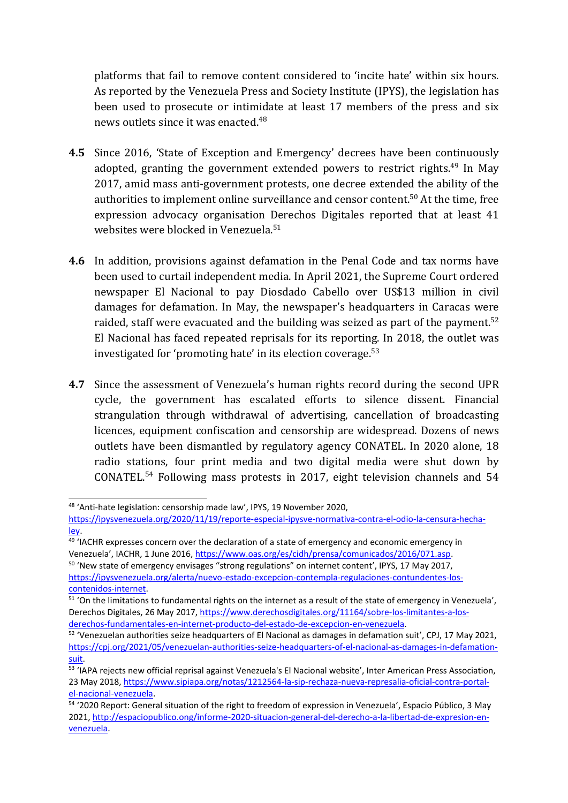platforms that fail to remove content considered to 'incite hate' within six hours. As reported by the Venezuela Press and Society Institute (IPYS), the legislation has been used to prosecute or intimidate at least 17 members of the press and six news outlets since it was enacted.<sup>48</sup>

- **4.5** Since 2016, 'State of Exception and Emergency' decrees have been continuously adopted, granting the government extended powers to restrict rights.<sup>49</sup> In May 2017, amid mass anti-government protests, one decree extended the ability of the authorities to implement online surveillance and censor content.<sup>50</sup> At the time, free expression advocacy organisation Derechos Digitales reported that at least 41 websites were blocked in Venezuela. 51
- **4.6** In addition, provisions against defamation in the Penal Code and tax norms have been used to curtail independent media. In April 2021, the Supreme Court ordered newspaper El Nacional to pay Diosdado Cabello over US\$13 million in civil damages for defamation. In May, the newspaper'<sup>s</sup> headquarters in Caracas were raided, staff were evacuated and the building was seized as part of the payment.<sup>52</sup> El Nacional has faced repeated reprisals for its reporting. In 2018, the outlet was investigated for 'promoting hate' in its election coverage. 53
- **4.7** Since the assessment of Venezuela'<sup>s</sup> human rights record during the second UPR cycle, the governmen<sup>t</sup> has escalated efforts to silence dissent. Financial strangulation through withdrawal of advertising, cancellation of broadcasting licences, equipment confiscation and censorship are widespread. Dozens of news outlets have been dismantled by regulatory agency CONATEL. In 2020 alone, 18 radio stations, four print media and two digital media were shut down by CONATEL. 54 Following mass protests in 2017, eight television channels and 54

<sup>&</sup>lt;sup>48</sup> 'Anti-hate legislation: censorship made law', IPYS, 19 November 2020,

[https://ipysvenezuela.org/2020/11/19/reporte-especial-ipysve-normativa-contra-el-odio-la-censura-hecha](https://ipysvenezuela.org/2020/11/19/reporte-especial-ipysve-normativa-contra-el-odio-la-censura-hecha-ley/)[ley](https://ipysvenezuela.org/2020/11/19/reporte-especial-ipysve-normativa-contra-el-odio-la-censura-hecha-ley/).

<sup>&</sup>lt;sup>49</sup> 'IACHR expresses concern over the declaration of a state of emergency and economic emergency in Venezuela', IACHR, 1 June 2016, <https://www.oas.org/es/cidh/prensa/comunicados/2016/071.asp>. <sup>50</sup> 'New state of emergency envisages "strong regulations" on internet content', IPYS, 17 May 2017, [https://ipysvenezuela.org/alerta/nuevo-estado-excepcion-contempla-regulaciones-contundentes-los](https://ipysvenezuela.org/alerta/nuevo-estado-excepcion-contempla-regulaciones-contundentes-los-contenidos-internet/)[contenidos-internet](https://ipysvenezuela.org/alerta/nuevo-estado-excepcion-contempla-regulaciones-contundentes-los-contenidos-internet/).

 $51$  'On the limitations to fundamental rights on the internet as a result of the state of emergency in Venezuela', Derechos Digitales, 26 May 2017, [https://www.derechosdigitales.org/11164/sobre-los-limitantes-a-los](https://www.derechosdigitales.org/11164/sobre-los-limitantes-a-los-derechos-fundamentales-en-internet-producto-del-estado-de-excepcion-en-venezuela/)[derechos-fundamentales-en-internet-producto-del-estado-de-excepcion-en-venezuela](https://www.derechosdigitales.org/11164/sobre-los-limitantes-a-los-derechos-fundamentales-en-internet-producto-del-estado-de-excepcion-en-venezuela/).

 $52$  'Venezuelan authorities seize headquarters of El Nacional as damages in defamation suit', CPJ, 17 May 2021, [https://cpj.org/2021/05/venezuelan-authorities-seize-headquarters-of-el-nacional-as-damages-in-defamation](https://cpj.org/2021/05/venezuelan-authorities-seize-headquarters-of-el-nacional-as-damages-in-defamation-suit/)[suit](https://cpj.org/2021/05/venezuelan-authorities-seize-headquarters-of-el-nacional-as-damages-in-defamation-suit/).

<sup>&</sup>lt;sup>53</sup> 'IAPA rejects new official reprisal against Venezuela's El Nacional website', Inter American Press Association, 23 May 2018, [https://www.sipiapa.org/notas/1212564-la-sip-rechaza-nueva-represalia-oficial-contra-portal](https://www.sipiapa.org/notas/1212564-la-sip-rechaza-nueva-represalia-oficial-contra-portal-el-nacional-venezuela)[el-nacional-venezuela](https://www.sipiapa.org/notas/1212564-la-sip-rechaza-nueva-represalia-oficial-contra-portal-el-nacional-venezuela).

<sup>54</sup> '2020 Report: General situation of the right to freedom of expression in Venezuela', Espacio Público, 3 May 2021, [http://espaciopublico.ong/informe-2020-situacion-general-del-derecho-a-la-libertad-de-expresion-en](http://espaciopublico.ong/informe-2020-situacion-general-del-derecho-a-la-libertad-de-expresion-en-venezuela/)[venezuela](http://espaciopublico.ong/informe-2020-situacion-general-del-derecho-a-la-libertad-de-expresion-en-venezuela/).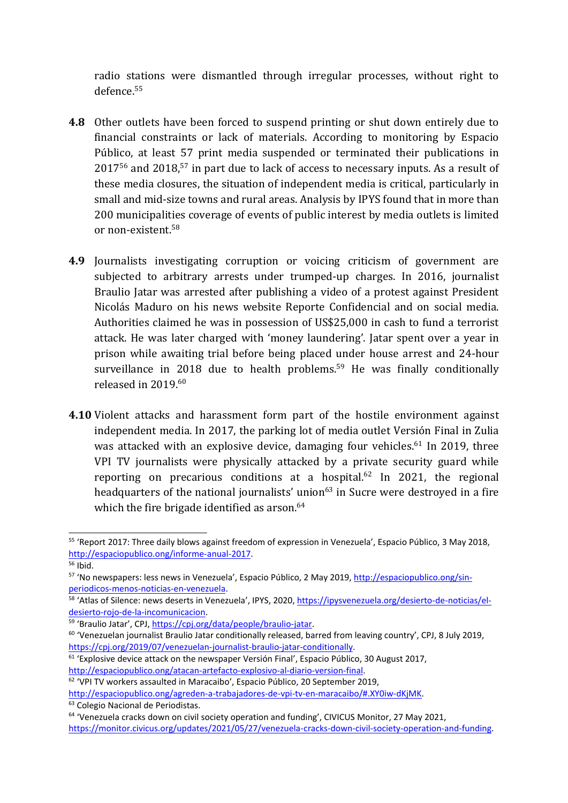radio stations were dismantled through irregular processes, without right to defence.<sup>55</sup>

- **4.8** Other outlets have been forced to suspend printing or shut down entirely due to financial constraints or lack of materials. According to monitoring by Espacio Público, at least 57 print media suspended or terminated their publications in  $2017^{56}$  and  $2018,^{57}$  in part due to lack of access to necessary inputs. As a result of these media closures, the situation of independent media is critical, particularly in small and mid-size towns and rural areas. Analysis by IPYS found that in more than 200 municipalities coverage of events of public interest by media outlets is limited or non-existent.<sup>58</sup>
- **4.9** Journalists investigating corruption or voicing criticism of governmen<sup>t</sup> are subjected to arbitrary arrests under trumped-up charges. In 2016, journalist Braulio Jatar was arrested after publishing <sup>a</sup> video of <sup>a</sup> protest against President Nicolás Maduro on his news website Reporte Confidencial and on social media. Authorities claimed he was in possession of US\$25,000 in cash to fund <sup>a</sup> terrorist attack. He was later charged with 'money laundering'. Jatar spent over <sup>a</sup> year in prison while awaiting trial before being placed under house arrest and 24-hour surveillance in 2018 due to health problems. <sup>59</sup> He was finally conditionally released in 2019. 60
- **4.10** Violent attacks and harassment form part of the hostile environment against independent media. In 2017, the parking lot of media outlet Versión Final in Zulia was attacked with an explosive device, damaging four vehicles. 61 In 2019, three VPI TV journalists were physically attacked by <sup>a</sup> private security guard while reporting on precarious conditions at a hospital.<sup>62</sup> In 2021, the regional headquarters of the national journalists' union<sup>63</sup> in Sucre were destroyed in a fire which the fire brigade identified as arson. 64

<sup>&</sup>lt;sup>55</sup> 'Report 2017: Three daily blows against freedom of expression in Venezuela', Espacio Público, 3 May 2018, [http://espaciopublico.ong/informe-anual-2017](http://espaciopublico.ong/informe-anual-2017/).

<sup>&</sup>lt;sup>56</sup> Ibid.

<sup>&</sup>lt;sup>57</sup> 'No newspapers: less news in Venezuela', Espacio Público, 2 May 2019, <u>http://espaciopublico.ong/sin-</u> [periodicos-menos-noticias-en-venezuela](http://espaciopublico.ong/sin-periodicos-menos-noticias-en-venezuela/).

<sup>&</sup>lt;sup>58</sup> 'Atlas of Silence: news deserts in Venezuela', IPYS, 2020, [https://ipysvenezuela.org/desierto-de-noticias/el](https://ipysvenezuela.org/desierto-de-noticias/el-desierto-rojo-de-la-incomunicacion/)[desierto-rojo-de-la-incomunicacion](https://ipysvenezuela.org/desierto-de-noticias/el-desierto-rojo-de-la-incomunicacion/).

<sup>&</sup>lt;sup>59</sup> 'Braulio Jatar', CPJ, [https://cpj.org/data/people/braulio-jatar](https://cpj.org/data/people/braulio-jatar/).

 $^{60}$  'Venezuelan journalist Braulio Jatar conditionally released, barred from leaving country', CPJ, 8 July 2019, [https://cpj.org/2019/07/venezuelan-journalist-braulio-jatar-conditionally](https://cpj.org/2019/07/venezuelan-journalist-braulio-jatar-conditionally/).

 $61$  'Explosive device attack on the newspaper Versión Final', Espacio Público, 30 August 2017, [http://espaciopublico.ong/atacan-artefacto-explosivo-al-diario-version-final](http://espaciopublico.ong/atacan-artefacto-explosivo-al-diario-version-final/).

<sup>&</sup>lt;sup>62</sup> 'VPI TV workers assaulted in Maracaibo', Espacio Público, 20 September 2019,

<http://espaciopublico.ong/agreden-a-trabajadores-de-vpi-tv-en-maracaibo/#.XY0iw-dKjMK>. <sup>63</sup> Colegio Nacional de Periodistas.

<sup>&</sup>lt;sup>64</sup> 'Venezuela cracks down on civil society operation and funding', CIVICUS Monitor, 27 May 2021, [https://monitor.civicus.org/updates/2021/05/27/venezuela-cracks-down-civil-society-operation-and-funding](https://monitor.civicus.org/updates/2021/05/27/venezuela-cracks-down-civil-society-operation-and-funding/).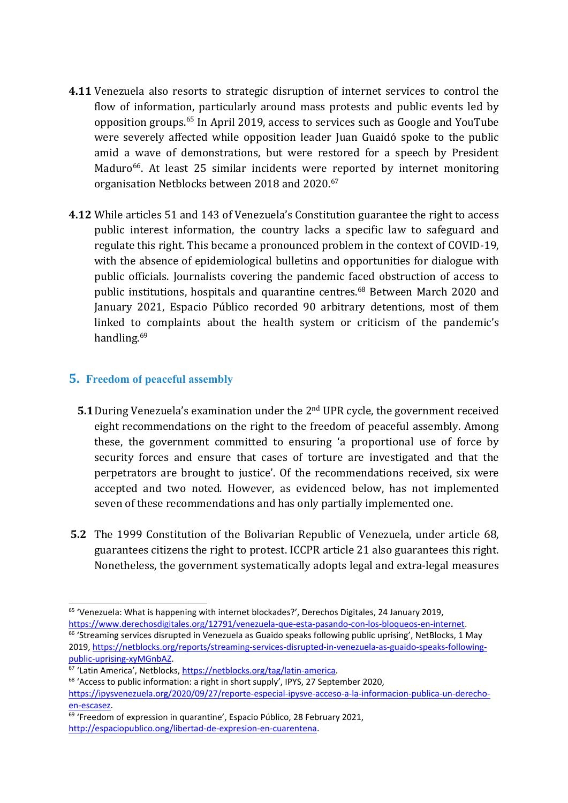- **4.11** Venezuela also resorts to strategic disruption of internet services to control the flow of information, particularly around mass protests and public events led by opposition groups.<sup>65</sup> In April 2019, access to services such as Google and YouTube were severely affected while opposition leader Juan Guaidó spoke to the public amid <sup>a</sup> wave of demonstrations, but were restored for <sup>a</sup> speech by President Maduro<sup>66</sup>. At least 25 similar incidents were reported by internet monitoring organisation Netblocks between 2018 and 2020. 67
- **4.12** While articles 51 and 143 of Venezuela'<sup>s</sup> Constitution guarantee the right to access public interest information, the country lacks <sup>a</sup> specific law to safeguard and regulate this right. This became <sup>a</sup> pronounced problem in the context of COVID-19, with the absence of epidemiological bulletins and opportunities for dialogue with public officials. Journalists covering the pandemic faced obstruction of access to public institutions, hospitals and quarantine centres. 68 Between March 2020 and January 2021, Espacio Público recorded 90 arbitrary detentions, most of them linked to complaints about the health system or criticism of the pandemic'<sup>s</sup> handling.<sup>69</sup>

### **5. Freedom of peaceful assembly**

- **5.1** During Venezuela's examination under the 2<sup>nd</sup> UPR cycle, the government received eight recommendations on the right to the freedom of peaceful assembly. Among these, the governmen<sup>t</sup> committed to ensuring '<sup>a</sup> proportional use of force by security forces and ensure that cases of torture are investigated and that the perpetrators are brought to justice'. Of the recommendations received, six were accepted and two noted. However, as evidenced below, has not implemented seven of these recommendations and has only partially implemented one.
- **5.2** The 1999 Constitution of the Bolivarian Republic of Venezuela, under article 68, guarantees citizens the right to protest. ICCPR article 21 also guarantees this right. Nonetheless, the governmen<sup>t</sup> systematically adopts legal and extra-legal measures

<sup>&</sup>lt;sup>65</sup> 'Venezuela: What is happening with internet blockades?', Derechos Digitales, 24 January 2019, [https://www.derechosdigitales.org/12791/venezuela-que-esta-pasando-con-los-bloqueos-en-internet](https://www.derechosdigitales.org/12791/venezuela-que-esta-pasando-con-los-bloqueos-en-internet/).

<sup>&</sup>lt;sup>66</sup> 'Streaming services disrupted in Venezuela as Guaido speaks following public uprising', NetBlocks, 1 May 2019, [https://netblocks.org/reports/streaming-services-disrupted-in-venezuela-as-guaido-speaks-following](https://netblocks.org/reports/streaming-services-disrupted-in-venezuela-as-guaido-speaks-following-public-uprising-xyMGnbAZ)[public-uprising-xyMGnbAZ](https://netblocks.org/reports/streaming-services-disrupted-in-venezuela-as-guaido-speaks-following-public-uprising-xyMGnbAZ).

<sup>&</sup>lt;sup>67</sup> 'Latin America', Netblocks, <https://netblocks.org/tag/latin-america>.

<sup>&</sup>lt;sup>68</sup> 'Access to public information: a right in short supply', IPYS, 27 September 2020, [https://ipysvenezuela.org/2020/09/27/reporte-especial-ipysve-acceso-a-la-informacion-publica-un-derecho](https://ipysvenezuela.org/2020/09/27/reporte-especial-ipysve-acceso-a-la-informacion-publica-un-derecho-en-escasez/)[en-escasez](https://ipysvenezuela.org/2020/09/27/reporte-especial-ipysve-acceso-a-la-informacion-publica-un-derecho-en-escasez/).

<sup>&</sup>lt;sup>69</sup> 'Freedom of expression in quarantine', Espacio Público, 28 February 2021, [http://espaciopublico.ong/libertad-de-expresion-en-cuarentena](http://espaciopublico.ong/libertad-de-expresion-en-cuarentena/).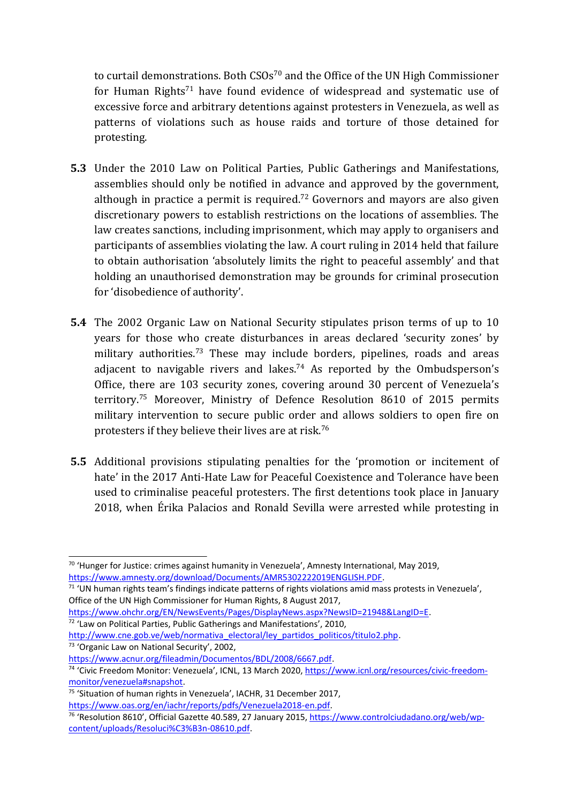to curtail demonstrations. Both CSOs 70 and the Office of the UN High Commissioner for Human Rights<sup>71</sup> have found evidence of widespread and systematic use of excessive force and arbitrary detentions against protesters in Venezuela, as well as patterns of violations such as house raids and torture of those detained for protesting.

- **5.3** Under the 2010 Law on Political Parties, Public Gatherings and Manifestations, assemblies should only be notified in advance and approved by the government, although in practice a permit is required. $^\mathrm{72}$  Governors and mayors are also given discretionary powers to establish restrictions on the locations of assemblies. The law creates sanctions, including imprisonment, which may apply to organisers and participants of assemblies violating the law. A court ruling in 2014 held that failure to obtain authorisation 'absolutely limits the right to peaceful assembly' and that holding an unauthorised demonstration may be grounds for criminal prosecution for 'disobedience of authority'.
- **5.4** The 2002 Organic Law on National Security stipulates prison terms of up to 10 years for those who create disturbances in areas declared 'security zones' by military authorities.<sup>73</sup> These may include borders, pipelines, roads and areas adjacent to navigable rivers and lakes. 74 As reported by the Ombudsperson'<sup>s</sup> Office, there are 103 security zones, covering around 30 percent of Venezuela'<sup>s</sup> territory. <sup>75</sup> Moreover, Ministry of Defence Resolution <sup>8610</sup> of 2015 permits military intervention to secure public order and allows soldiers to open fire on protesters if they believe their lives are at risk. $^{76}\,$
- **5.5** Additional provisions stipulating penalties for the 'promotion or incitement of hate' in the 2017 Anti-Hate Law for Peaceful Coexistence and Tolerance have been used to criminalise peaceful protesters. The first detentions took place in January 2018, when Érika Palacios and Ronald Sevilla were arrested while protesting in

<sup>73</sup> 'Organic Law on National Security', 2002,

<sup>&</sup>lt;sup>70</sup> 'Hunger for Justice: crimes against humanity in Venezuela', Amnesty International, May 2019, <https://www.amnesty.org/download/Documents/AMR5302222019ENGLISH.PDF>.

<sup>&</sup>lt;sup>71</sup> 'UN human rights team's findings indicate patterns of rights violations amid mass protests in Venezuela', Office of the UN High Commissioner for Human Rights, 8 August 2017,

<https://www.ohchr.org/EN/NewsEvents/Pages/DisplayNews.aspx?NewsID=21948&LangID=E>.

<sup>&</sup>lt;sup>72</sup> 'Law on Political Parties, Public Gatherings and Manifestations', 2010, [http://www.cne.gob.ve/web/normativa\\_electoral/ley\\_partidos\\_politicos/titulo2.php](http://www.cne.gob.ve/web/normativa_electoral/ley_partidos_politicos/titulo2.php).

<https://www.acnur.org/fileadmin/Documentos/BDL/2008/6667.pdf>.

<sup>&</sup>lt;sup>74</sup> 'Civic Freedom Monitor: Venezuela', ICNL, 13 March 2020, [https://www.icnl.org/resources/civic-freedom](https://www.icnl.org/resources/civic-freedom-monitor/venezuela#snapshot)[monitor/venezuela#snapshot](https://www.icnl.org/resources/civic-freedom-monitor/venezuela#snapshot).

<sup>&</sup>lt;sup>75</sup> 'Situation of human rights in Venezuela', IACHR, 31 December 2017, <https://www.oas.org/en/iachr/reports/pdfs/Venezuela2018-en.pdf>.

<sup>&</sup>lt;sup>76</sup> 'Resolution 8610', Official Gazette 40.589, 27 January 2015, [https://www.controlciudadano.org/web/wp](https://www.controlciudadano.org/web/wp-content/uploads/Resoluci%C3%B3n-08610.pdf)[content/uploads/Resoluci%C3%B3n-08610.pdf](https://www.controlciudadano.org/web/wp-content/uploads/Resoluci%C3%B3n-08610.pdf).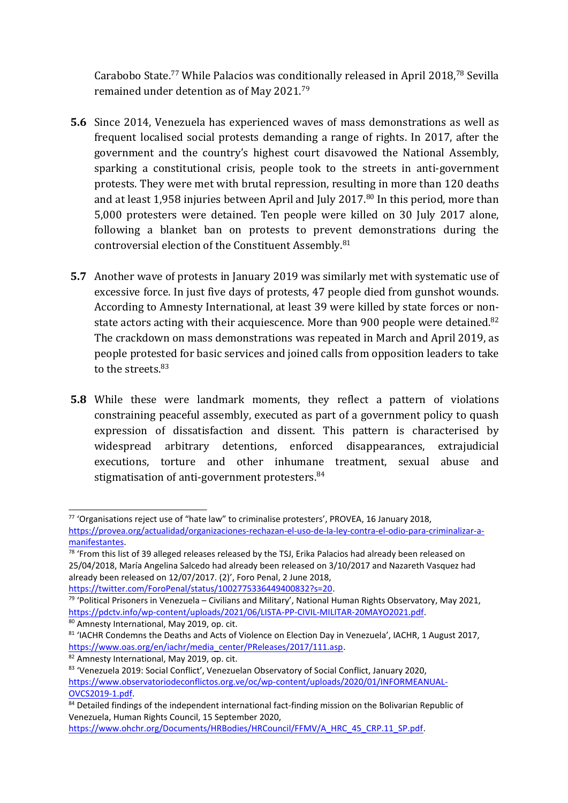Carabobo State. <sup>77</sup> While Palacios was conditionally released in April 2018, 78 Sevilla remained under detention as of May 2021. 79

- **5.6** Since 2014, Venezuela has experienced waves of mass demonstrations as well as frequent localised social protests demanding <sup>a</sup> range of rights. In 2017, after the governmen<sup>t</sup> and the country'<sup>s</sup> highest court disavowed the National Assembly, sparking <sup>a</sup> constitutional crisis, people took to the streets in anti-government protests. They were met with brutal repression, resulting in more than 120 deaths and at least 1,958 injuries between April and July 2017.<sup>80</sup> In this period, more than 5,000 protesters were detained. Ten people were killed on 30 July 2017 alone, following <sup>a</sup> blanket ban on protests to prevent demonstrations during the controversial election of the Constituent Assembly. 81
- **5.7** Another wave of protests in January 2019 was similarly met with systematic use of excessive force. In just five days of protests, 47 people died from gunshot wounds. According to Amnesty International, at least 39 were killed by state forces or nonstate actors acting with their acquiescence. More than 900 people were detained.<sup>82</sup> The crackdown on mass demonstrations was repeated in March and April 2019, as people protested for basic services and joined calls from opposition leaders to take to the streets.<sup>83</sup>
- **5.8** While these were landmark moments, they reflect <sup>a</sup> pattern of violations constraining peaceful assembly, executed as part of <sup>a</sup> governmen<sup>t</sup> policy to quash expression of dissatisfaction and dissent. This pattern is characterised by widespread arbitrary detentions, enforced disappearances, extrajudicial executions, torture and other inhumane treatment, sexual abuse and stigmatisation of anti-government protesters.<sup>84</sup>

<sup>&</sup>lt;sup>77</sup> 'Organisations reject use of "hate law" to criminalise protesters', PROVEA, 16 January 2018, [https://provea.org/actualidad/organizaciones-rechazan-el-uso-de-la-ley-contra-el-odio-para-criminalizar-a](https://provea.org/actualidad/organizaciones-rechazan-el-uso-de-la-ley-contra-el-odio-para-criminalizar-a-manifestantes/)[manifestantes](https://provea.org/actualidad/organizaciones-rechazan-el-uso-de-la-ley-contra-el-odio-para-criminalizar-a-manifestantes/).

<sup>&</sup>lt;sup>78</sup> 'From this list of 39 alleged releases released by the TSJ, Erika Palacios had already been released on 25/04/2018, María Angelina Salcedo had already been released on 3/10/2017 and Nazareth Vasquez had already been released on 12/07/2017. (2)', Foro Penal, 2 June 2018,

<https://twitter.com/ForoPenal/status/1002775336449400832?s=20>. 79 'Political Prisoners in Venezuela – Civilians and Military', National Human Rights Observatory, May 2021,

<https://pdctv.info/wp-content/uploads/2021/06/LISTA-PP-CIVIL-MILITAR-20MAYO2021.pdf>.

<sup>&</sup>lt;sup>80</sup> Amnesty International, May 2019, op. cit.

<sup>&</sup>lt;sup>81</sup> 'IACHR Condemns the Deaths and Acts of Violence on Election Day in Venezuela', IACHR, 1 August 2017, [https://www.oas.org/en/iachr/media\\_center/PReleases/2017/111.asp](https://www.oas.org/en/iachr/media_center/PReleases/2017/111.asp).

<sup>&</sup>lt;sup>82</sup> Amnesty International, May 2019, op. cit.

<sup>&</sup>lt;sup>83</sup> 'Venezuela 2019: Social Conflict', Venezuelan Observatory of Social Conflict, January 2020, [https://www.observatoriodeconflictos.org.ve/oc/wp-content/uploads/2020/01/INFORMEANUAL-](https://www.observatoriodeconflictos.org.ve/oc/wp-content/uploads/2020/01/INFORMEANUAL-OVCS2019-1.pdf)[OVCS2019-1.pdf](https://www.observatoriodeconflictos.org.ve/oc/wp-content/uploads/2020/01/INFORMEANUAL-OVCS2019-1.pdf).

<sup>&</sup>lt;sup>84</sup> Detailed findings of the independent international fact-finding mission on the Bolivarian Republic of Venezuela, Human Rights Council, 15 September 2020,

[https://www.ohchr.org/Documents/HRBodies/HRCouncil/FFMV/A\\_HRC\\_45\\_CRP.11\\_SP.pdf](https://www.ohchr.org/Documents/HRBodies/HRCouncil/FFMV/A_HRC_45_CRP.11_SP.pdf).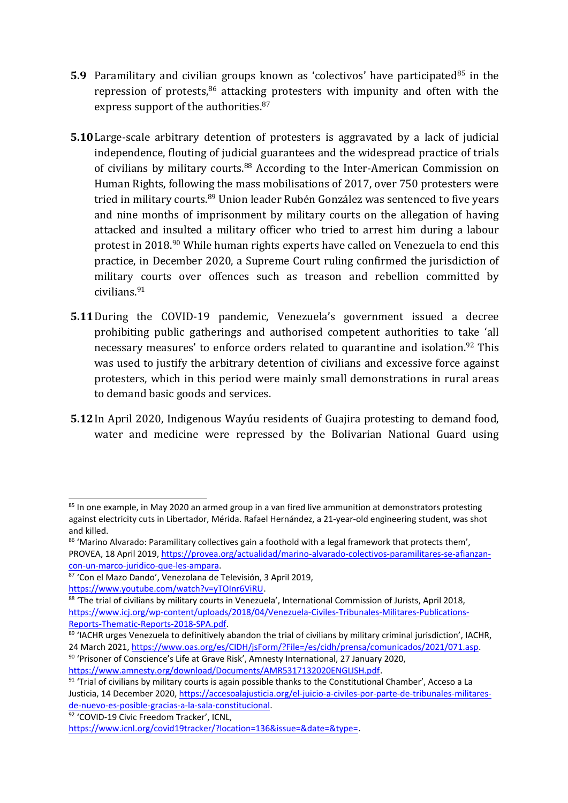- **5.9** Paramilitary and civilian groups known as 'colectivos' have participated<sup>85</sup> in the repression of protests,<sup>86</sup> attacking protesters with impunity and often with the express support of the authorities.<sup>87</sup>
- **5.10**Large-scale arbitrary detention of protesters is aggravated by <sup>a</sup> lack of judicial independence, flouting of judicial guarantees and the widespread practice of trials of civilians by military courts.<sup>88</sup> According to the Inter-American Commission on Human Rights, following the mass mobilisations of 2017, over 750 protesters were tried in military courts.<sup>89</sup> Union leader Rubén González was sentenced to five years and nine months of imprisonment by military courts on the allegation of having attacked and insulted <sup>a</sup> military officer who tried to arrest him during <sup>a</sup> labour protest in 2018.<sup>90</sup> While human rights experts have called on Venezuela to end this practice, in December 2020, <sup>a</sup> Supreme Court ruling confirmed the jurisdiction of military courts over offences such as treason and rebellion committed by civilians.<sup>91</sup>
- **5.11**During the COVID-19 pandemic, Venezuela'<sup>s</sup> governmen<sup>t</sup> issued <sup>a</sup> decree prohibiting public gatherings and authorised competent authorities to take 'all necessary measures' to enforce orders related to quarantine and isolation.<sup>92</sup> This was used to justify the arbitrary detention of civilians and excessive force against protesters, which in this period were mainly small demonstrations in rural areas to demand basic goods and services.
- **5.12**In April 2020, Indigenous Wayúu residents of Guajira protesting to demand food, water and medicine were repressed by the Bolivarian National Guard using

<sup>92</sup> 'COVID-19 Civic Freedom Tracker', ICNL,

<sup>&</sup>lt;sup>85</sup> In one example, in May 2020 an armed group in a van fired live ammunition at demonstrators protesting against electricity cuts in Libertador, Mérida. Rafael Hernández, <sup>a</sup> 21-year-old engineering student, was shot and killed.

 $86$  'Marino Alvarado: Paramilitary collectives gain a foothold with a legal framework that protects them', PROVEA, 18 April 2019, [https://provea.org/actualidad/marino-alvarado-colectivos-paramilitares-se-afianzan](https://provea.org/actualidad/marino-alvarado-colectivos-paramilitares-se-afianzan-con-un-marco-juridico-que-les-ampara/)[con-un-marco-juridico-que-les-ampara](https://provea.org/actualidad/marino-alvarado-colectivos-paramilitares-se-afianzan-con-un-marco-juridico-que-les-ampara/).

<sup>87</sup> 'Con el Mazo Dando', Venezolana de Televisión, 3 April 2019, <https://www.youtube.com/watch?v=yTOInr6ViRU>.

<sup>&</sup>lt;sup>88</sup> 'The trial of civilians by military courts in Venezuela', International Commission of Jurists, April 2018, [https://www.icj.org/wp-content/uploads/2018/04/Venezuela-Civiles-Tribunales-Militares-Publications-](https://www.icj.org/wp-content/uploads/2018/04/Venezuela-Civiles-Tribunales-Militares-Publications-Reports-Thematic-Reports-2018-SPA.pdf)

[Reports-Thematic-Reports-2018-SPA.pdf](https://www.icj.org/wp-content/uploads/2018/04/Venezuela-Civiles-Tribunales-Militares-Publications-Reports-Thematic-Reports-2018-SPA.pdf).

<sup>89</sup> 'IACHR urges Venezuela to definitively abandon the trial of civilians by military criminal jurisdiction', IACHR, 24 March 2021, <https://www.oas.org/es/CIDH/jsForm/?File=/es/cidh/prensa/comunicados/2021/071.asp>.

 $^{\rm 90}$  'Prisoner of Conscience's Life at Grave Risk', Amnesty International, 27 January 2020, <https://www.amnesty.org/download/Documents/AMR5317132020ENGLISH.pdf>.

 $^{91}$  'Trial of civilians by military courts is again possible thanks to the Constitutional Chamber', Acceso a La Justicia, 14 December 2020, [https://accesoalajusticia.org/el-juicio-a-civiles-por-parte-de-tribunales-militares](https://accesoalajusticia.org/el-juicio-a-civiles-por-parte-de-tribunales-militares-de-nuevo-es-posible-gracias-a-la-sala-constitucional/)[de-nuevo-es-posible-gracias-a-la-sala-constitucional](https://accesoalajusticia.org/el-juicio-a-civiles-por-parte-de-tribunales-militares-de-nuevo-es-posible-gracias-a-la-sala-constitucional/).

<https://www.icnl.org/covid19tracker/?location=136&issue=&date=&type=>.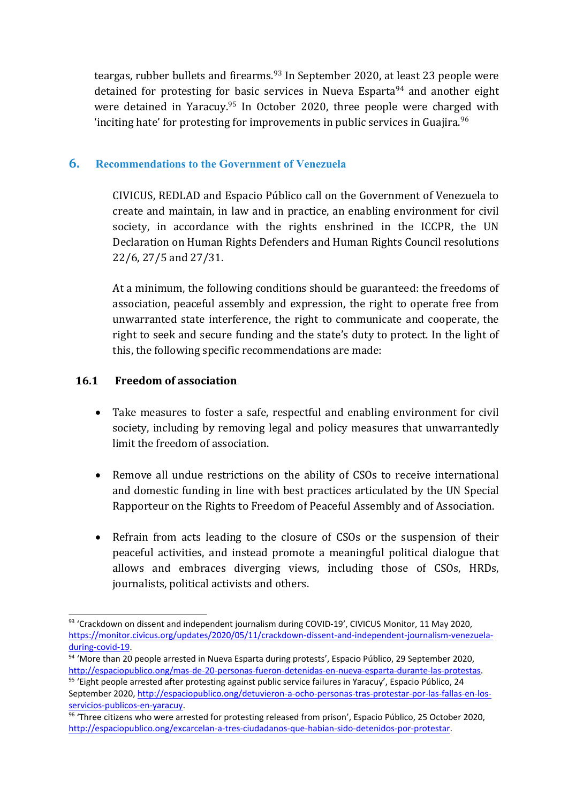teargas, rubber bullets and firearms.<sup>93</sup> In September 2020, at least 23 people were detained for protesting for basic services in Nueva Esparta<sup>94</sup> and another eight were detained in Yaracuy.<sup>95</sup> In October 2020, three people were charged with 'inciting hate' for protesting for improvements in public services in Guajira. $^{96}$ 

### **6. Recommendations to the Government of Venezuela**

CIVICUS, REDLAD and Espacio Público call on the Government of Venezuela to create and maintain, in law and in practice, an enabling environment for civil society, in accordance with the rights enshrined in the ICCPR, the UN Declaration on Human Rights Defenders and Human Rights Council resolutions 22/6, 27/5 and 27/31.

At <sup>a</sup> minimum, the following conditions should be guaranteed: the freedoms of association, peaceful assembly and expression, the right to operate free from unwarranted state interference, the right to communicate and cooperate, the right to seek and secure funding and the state'<sup>s</sup> duty to protect. In the light of this, the following specific recommendations are made:

### **16.1 Freedom of association**

- Take measures to foster <sup>a</sup> safe, respectful and enabling environment for civil society, including by removing legal and policy measures that unwarrantedly limit the freedom of association.
- $\bullet$  Remove all undue restrictions on the ability of CSOs to receive international and domestic funding in line with best practices articulated by the UN Special Rapporteur on the Rights to Freedom of Peaceful Assembly and of Association.
- Refrain from acts leading to the closure of CSOs or the suspension of their peaceful activities, and instead promote <sup>a</sup> meaningful political dialogue that allows and embraces diverging views, including those of CSOs, HRDs, journalists, political activists and others.

 $93$  'Crackdown on dissent and independent journalism during COVID-19', CIVICUS Monitor, 11 May 2020, [https://monitor.civicus.org/updates/2020/05/11/crackdown-dissent-and-independent-journalism-venezuela](https://monitor.civicus.org/updates/2020/05/11/crackdown-dissent-and-independent-journalism-venezuela-during-covid-19/)[during-covid-19](https://monitor.civicus.org/updates/2020/05/11/crackdown-dissent-and-independent-journalism-venezuela-during-covid-19/).

<sup>94</sup> 'More than 20 people arrested in Nueva Esparta during protests', Espacio Público, 29 September 2020, [http://espaciopublico.ong/mas-de-20-personas-fueron-detenidas-en-nueva-esparta-durante-las-protestas](http://espaciopublico.ong/mas-de-20-personas-fueron-detenidas-en-nueva-esparta-durante-las-protestas/).

<sup>95</sup> 'Eight people arrested after protesting against public service failures in Yaracuy', Espacio Público, 24 September 2020, [http://espaciopublico.ong/detuvieron-a-ocho-personas-tras-protestar-por-las-fallas-en-los](http://espaciopublico.ong/detuvieron-a-ocho-personas-tras-protestar-por-las-fallas-en-los-servicios-publicos-en-yaracuy/)[servicios-publicos-en-yaracuy](http://espaciopublico.ong/detuvieron-a-ocho-personas-tras-protestar-por-las-fallas-en-los-servicios-publicos-en-yaracuy/).

<sup>&</sup>lt;sup>96</sup> 'Three citizens who were arrested for protesting released from prison', Espacio Público, 25 October 2020, [http://espaciopublico.ong/excarcelan-a-tres-ciudadanos-que-habian-sido-detenidos-por-protestar](http://espaciopublico.ong/excarcelan-a-tres-ciudadanos-que-habian-sido-detenidos-por-protestar/).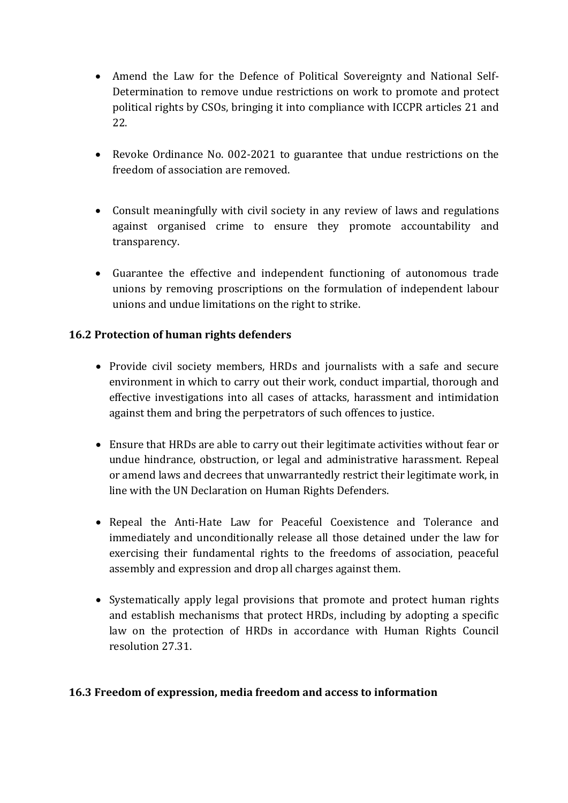- Amend the Law for the Defence of Political Sovereignty and National Self-Determination to remove undue restrictions on work to promote and protect political rights by CSOs, bringing it into compliance with ICCPR articles 21 and 22.
- Revoke Ordinance No. 002-2021 to guarantee that undue restrictions on the freedom of association are removed.
- Consult meaningfully with civil society in any review of laws and regulations against organised crime to ensure they promote accountability and transparency.
- Guarantee the effective and independent functioning of autonomous trade unions by removing proscriptions on the formulation of independent labour unions and undue limitations on the right to strike.

### **16.2 Protection of human rights defenders**

- Provide civil society members, HRDs and journalists with <sup>a</sup> safe and secure environment in which to carry out their work, conduct impartial, thorough and effective investigations into all cases of attacks, harassment and intimidation against them and bring the perpetrators of such offences to justice.
- Ensure that HRDs are able to carry out their legitimate activities without fear or undue hindrance, obstruction, or legal and administrative harassment. Repeal or amend laws and decrees that unwarrantedly restrict their legitimate work, in line with the UN Declaration on Human Rights Defenders.
- Repeal the Anti-Hate Law for Peaceful Coexistence and Tolerance and immediately and unconditionally release all those detained under the law for exercising their fundamental rights to the freedoms of association, peaceful assembly and expression and drop all charges against them.
- Systematically apply legal provisions that promote and protect human rights and establish mechanisms that protect HRDs, including by adopting <sup>a</sup> specific law on the protection of HRDs in accordance with Human Rights Council resolution 27.31.

#### **16.3 Freedom of expression, media freedom and access to information**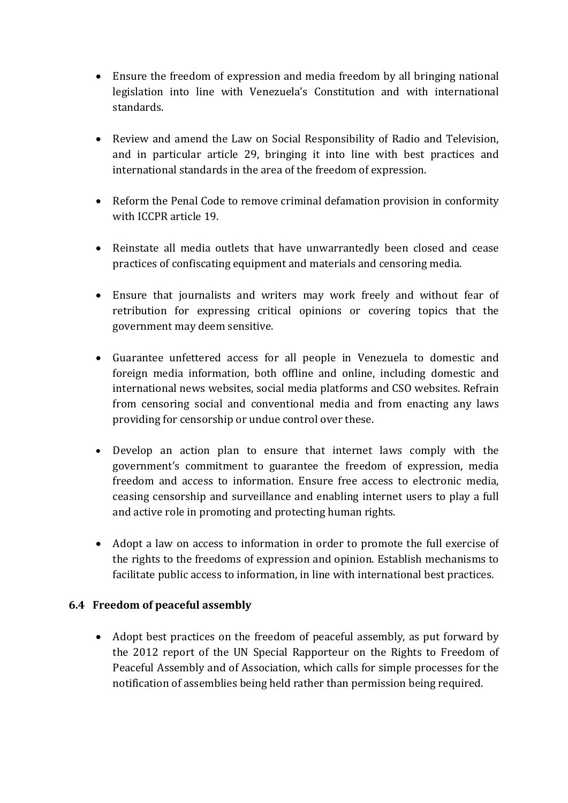- Ensure the freedom of expression and media freedom by all bringing national legislation into line with Venezuela'<sup>s</sup> Constitution and with international standards.
- Review and amend the Law on Social Responsibility of Radio and Television, and in particular article 29, bringing it into line with best practices and international standards in the area of the freedom of expression.
- Reform the Penal Code to remove criminal defamation provision in conformity with ICCPR article 19.
- Reinstate all media outlets that have unwarrantedly been closed and cease practices of confiscating equipment and materials and censoring media.
- $\bullet$  Ensure that journalists and writers may work freely and without fear of retribution for expressing critical opinions or covering topics that the governmen<sup>t</sup> may deem sensitive.
- Guarantee unfettered access for all people in Venezuela to domestic and foreign media information, both offline and online, including domestic and international news websites, social media platforms and CSO websites. Refrain from censoring social and conventional media and from enacting any laws providing for censorship or undue control over these.
- Develop an action plan to ensure that internet laws comply with the government'<sup>s</sup> commitment to guarantee the freedom of expression, media freedom and access to information. Ensure free access to electronic media, ceasing censorship and surveillance and enabling internet users to play <sup>a</sup> full and active role in promoting and protecting human rights.
- Adopt <sup>a</sup> law on access to information in order to promote the full exercise of the rights to the freedoms of expression and opinion. Establish mechanisms to facilitate public access to information, in line with international best practices.

### **6.4 Freedom of peaceful assembly**

 $\bullet$  Adopt best practices on the freedom of peaceful assembly, as put forward by the 2012 report of the UN Special Rapporteur on the Rights to Freedom of Peaceful Assembly and of Association, which calls for simple processes for the notification of assemblies being held rather than permission being required.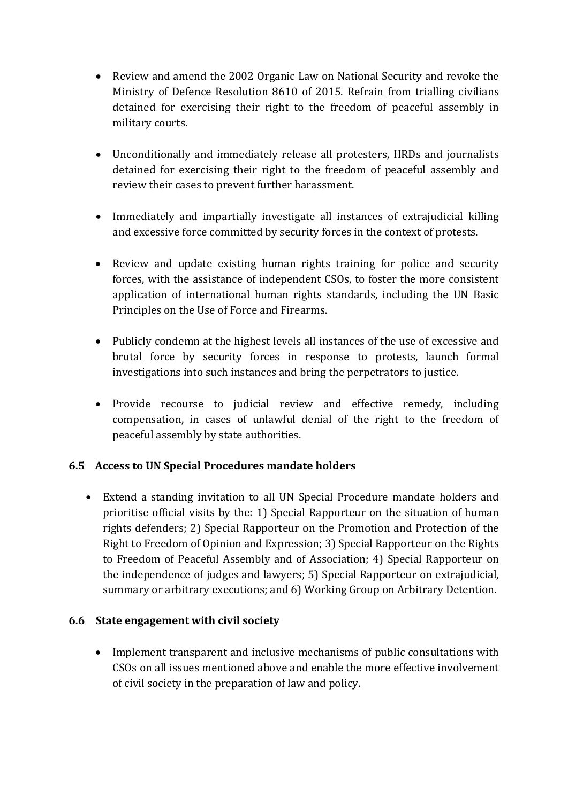- Review and amend the 2002 Organic Law on National Security and revoke the Ministry of Defence Resolution 8610 of 2015. Refrain from trialling civilians detained for exercising their right to the freedom of peaceful assembly in military courts.
- Unconditionally and immediately release all protesters, HRDs and journalists detained for exercising their right to the freedom of peaceful assembly and review their cases to prevent further harassment.
- Immediately and impartially investigate all instances of extrajudicial killing and excessive force committed by security forces in the context of protests.
- Review and update existing human rights training for police and security forces, with the assistance of independent CSOs, to foster the more consistent application of international human rights standards, including the UN Basic Principles on the Use of Force and Firearms.
- Publicly condemn at the highest levels all instances of the use of excessive and brutal force by security forces in response to protests, launch formal investigations into such instances and bring the perpetrators to justice.
- Provide recourse to judicial review and effective remedy, including compensation, in cases of unlawful denial of the right to the freedom of peaceful assembly by state authorities.

### **6.5 Access to UN Special Procedures mandate holders**

 Extend <sup>a</sup> standing invitation to all UN Special Procedure mandate holders and prioritise official visits by the: 1) Special Rapporteur on the situation of human rights defenders; 2) Special Rapporteur on the Promotion and Protection of the Right to Freedom of Opinion and Expression; 3) Special Rapporteur on the Rights to Freedom of Peaceful Assembly and of Association; 4) Special Rapporteur on the independence of judges and lawyers; 5) Special Rapporteur on extrajudicial, summary or arbitrary executions; and 6) Working Group on Arbitrary Detention.

#### **6.6 State engagement with civil society**

 Implement transparent and inclusive mechanisms of public consultations with CSOs on all issues mentioned above and enable the more effective involvement of civil society in the preparation of law and policy.